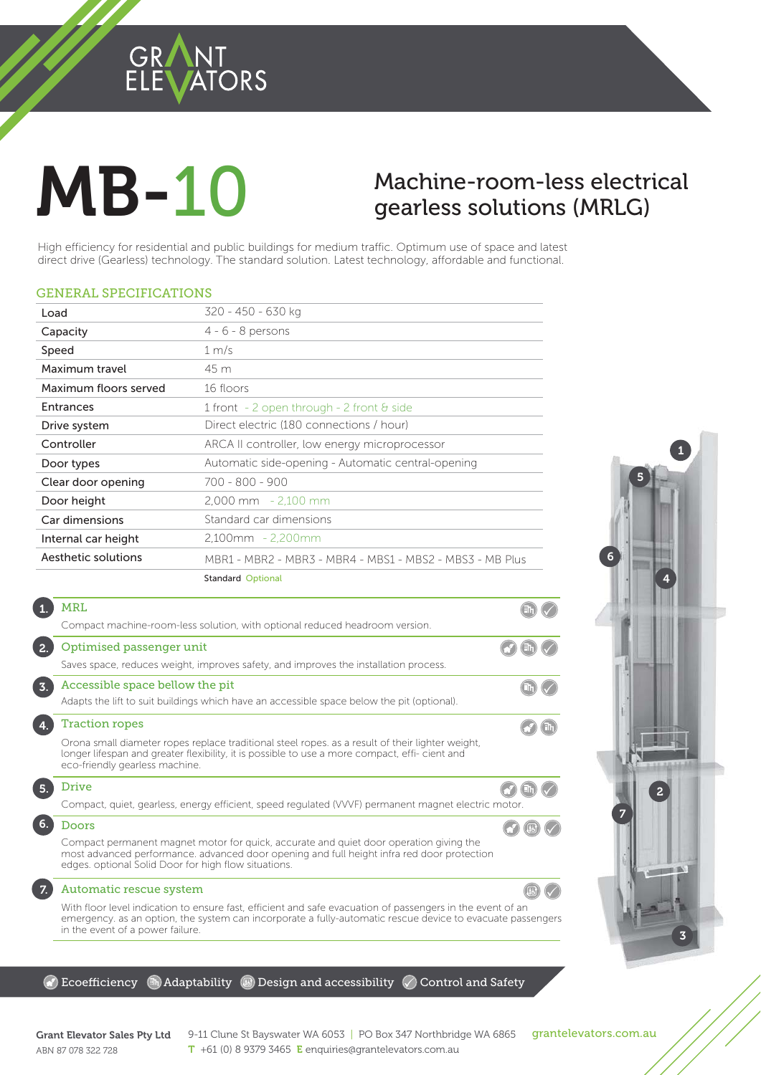### GRANT<br>ELEVATORS

# **MB-10**

## $g$ em less solutions (MRLG)

 $\qquad \qquad \widehat{}$ 

 $\left( \mathbb{B}\right)$ 

gearless solutions (MRLG)<br>tial and public buildings for medium traffic. Optimum use of space and latest<br>inology. The standard solution. Latest technology, affordable and functional. High efficiency for residential and public buildings for medium traffic. Optimum use of space and latest direct drive (Gearless) technology. The standard solution. Latest technology, affordable and functional.

#### GENERAL SPECIFICATIONS

| Load                  | 320 - 450 - 630 kg                                       |
|-----------------------|----------------------------------------------------------|
| Capacity              | $4 - 6 - 8$ persons                                      |
| Speed                 | 1 m/s                                                    |
| Maximum travel        | 45 m                                                     |
| Maximum floors served | 16 floors                                                |
| Entrances             | 1 front $-2$ open through $-2$ front $\theta$ side       |
| Drive system          | Direct electric (180 connections / hour)                 |
| Controller            | ARCA II controller, low energy microprocessor            |
| Door types            | Automatic side-opening - Automatic central-opening       |
| Clear door opening    | 700 - 800 - 900                                          |
| Door height           | $2.000 \, \text{mm}$ - 2.100 mm                          |
| Car dimensions        | Standard car dimensions                                  |
| Internal car height   | $2,100$ mm - 2,200mm                                     |
| Aesthetic solutions   | MBR1 - MBR2 - MBR3 - MBR4 - MBS1 - MBS2 - MBS3 - MB Plus |
|                       | <b>Standard Optional</b>                                 |

|    | MRL                                                                                                                                                                                                                                          |  |
|----|----------------------------------------------------------------------------------------------------------------------------------------------------------------------------------------------------------------------------------------------|--|
|    | Compact machine-room-less solution, with optional reduced headroom version.                                                                                                                                                                  |  |
|    | Optimised passenger unit                                                                                                                                                                                                                     |  |
|    | Saves space, reduces weight, improves safety, and improves the installation process.                                                                                                                                                         |  |
| 3. | Accessible space bellow the pit                                                                                                                                                                                                              |  |
|    | Adapts the lift to suit buildings which have an accessible space below the pit (optional).                                                                                                                                                   |  |
|    | <b>Traction ropes</b>                                                                                                                                                                                                                        |  |
|    | Orona small diameter ropes replace traditional steel ropes, as a result of their lighter weight,<br>longer lifespan and greater flexibility, it is possible to use a more compact, effi- cient and<br>eco-friendly gearless machine.         |  |
| 5. | Drive                                                                                                                                                                                                                                        |  |
|    | Compact, quiet, gearless, energy efficient, speed regulated (VVVF) permanent magnet electric motor.                                                                                                                                          |  |
| 6. | Doors                                                                                                                                                                                                                                        |  |
|    | Compact permanent magnet motor for quick, accurate and quiet door operation giving the<br>most advanced performance, advanced door opening and full height infra red door protection<br>edges. optional Solid Door for high flow situations. |  |
|    |                                                                                                                                                                                                                                              |  |

#### Automatic rescue system

7.

**MEDI** 

With floor level indication to ensure fast, efficient and safe evacuation of passengers in the event of an emergency. as an option, the system can incorporate a fully-automatic rescue device to evacuate passengers in the event of a power failure.

 $\odot$  Ecoefficiency  $\circledast$  Adaptability  $\circledast$  Design and accessibility  $\oslash$  Control and Safety



ABN 87 078 322 728

Grant Elevator Sales Pty Ltd  $9-11$  Clune St Bayswater WA 6053 | PO Box 347 Northbridge WA 6865 grantelevators.com.au<br>APM 97.979.799.799 T +61 (0) 8 9379 3465 E enquiries@grantelevators.com.au